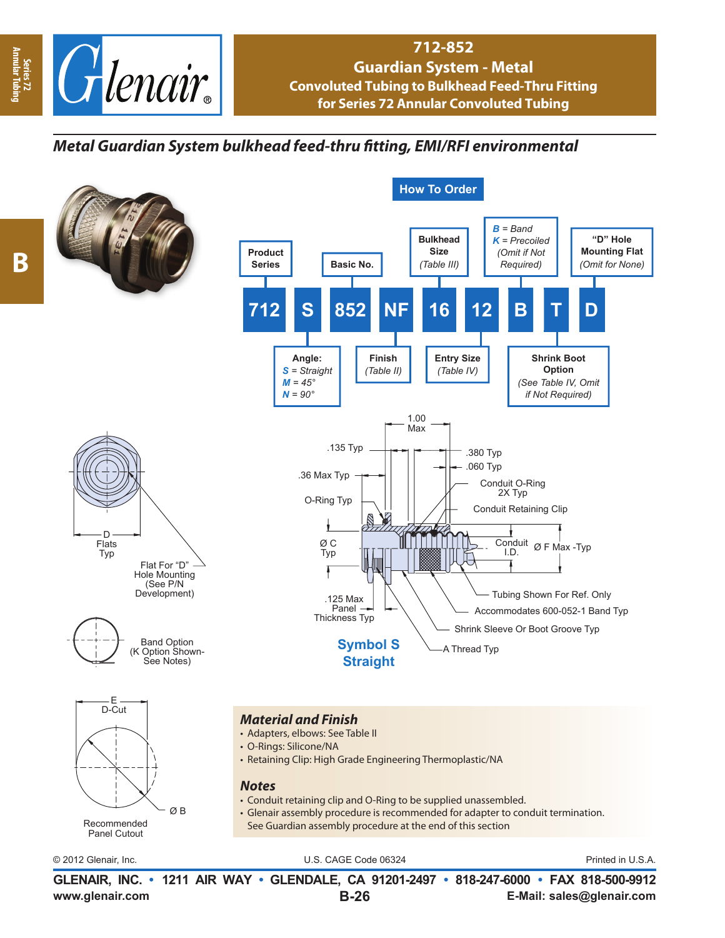

## **712-852 Guardian System - Metal Convoluted Tubing to Bulkhead Feed-Thru Fitting for Series 72 Annular Convoluted Tubing**

## *Metal Guardian System bulkhead feed-thru fi tting, EMI/RFI environmental*



Series 72<br>Annular Tubi **Annular Tubing**

**www.glenair.com E-Mail: sales@glenair.com GLENAIR, INC. • 1211 AIR WAY • GLENDALE, CA 91201-2497 • 818-247-6000 • FAX 818-500-9912 B-26**